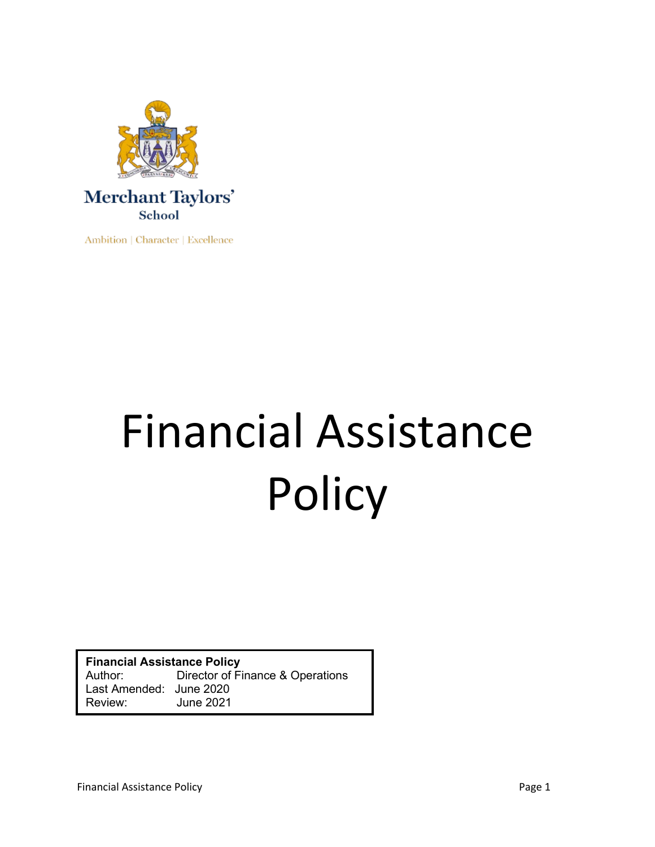

Ambition | Character | Excellence

# Financial Assistance **Policy**

**Financial Assistance Policy** Author: Director of Finance & Operations Last Amended: June 2020 **June 2021**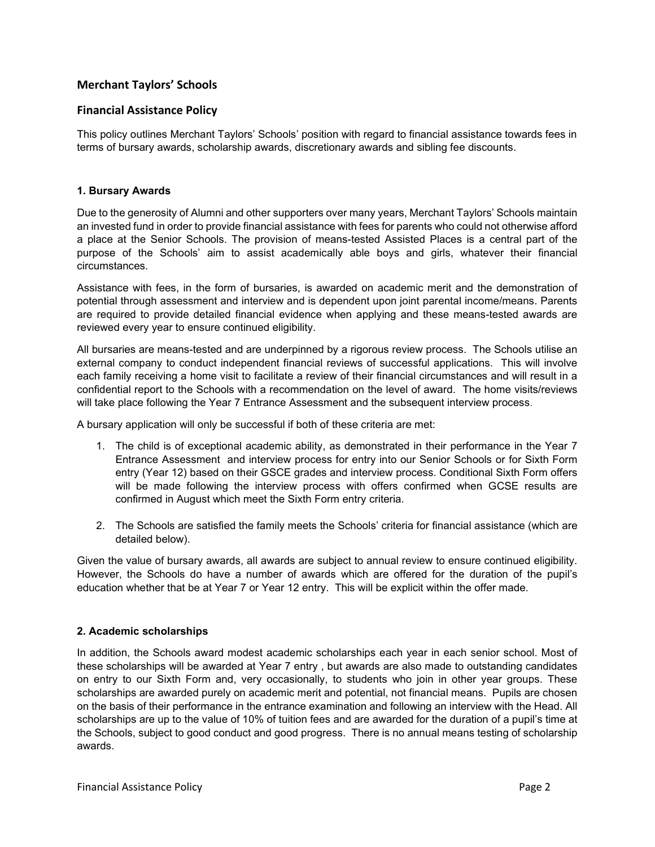# **Merchant Taylors' Schools**

# **Financial Assistance Policy**

This policy outlines Merchant Taylors' Schools' position with regard to financial assistance towards fees in terms of bursary awards, scholarship awards, discretionary awards and sibling fee discounts.

# **1. Bursary Awards**

Due to the generosity of Alumni and other supporters over many years, Merchant Taylors' Schools maintain an invested fund in order to provide financial assistance with fees for parents who could not otherwise afford a place at the Senior Schools. The provision of means-tested Assisted Places is a central part of the purpose of the Schools' aim to assist academically able boys and girls, whatever their financial circumstances.

Assistance with fees, in the form of bursaries, is awarded on academic merit and the demonstration of potential through assessment and interview and is dependent upon joint parental income/means. Parents are required to provide detailed financial evidence when applying and these means-tested awards are reviewed every year to ensure continued eligibility.

All bursaries are means-tested and are underpinned by a rigorous review process. The Schools utilise an external company to conduct independent financial reviews of successful applications. This will involve each family receiving a home visit to facilitate a review of their financial circumstances and will result in a confidential report to the Schools with a recommendation on the level of award. The home visits/reviews will take place following the Year 7 Entrance Assessment and the subsequent interview process.

A bursary application will only be successful if both of these criteria are met:

- 1. The child is of exceptional academic ability, as demonstrated in their performance in the Year 7 Entrance Assessment and interview process for entry into our Senior Schools or for Sixth Form entry (Year 12) based on their GSCE grades and interview process. Conditional Sixth Form offers will be made following the interview process with offers confirmed when GCSE results are confirmed in August which meet the Sixth Form entry criteria.
- 2. The Schools are satisfied the family meets the Schools' criteria for financial assistance (which are detailed below).

Given the value of bursary awards, all awards are subject to annual review to ensure continued eligibility. However, the Schools do have a number of awards which are offered for the duration of the pupil's education whether that be at Year 7 or Year 12 entry. This will be explicit within the offer made.

## **2. Academic scholarships**

In addition, the Schools award modest academic scholarships each year in each senior school. Most of these scholarships will be awarded at Year 7 entry , but awards are also made to outstanding candidates on entry to our Sixth Form and, very occasionally, to students who join in other year groups. These scholarships are awarded purely on academic merit and potential, not financial means. Pupils are chosen on the basis of their performance in the entrance examination and following an interview with the Head. All scholarships are up to the value of 10% of tuition fees and are awarded for the duration of a pupil's time at the Schools, subject to good conduct and good progress. There is no annual means testing of scholarship awards.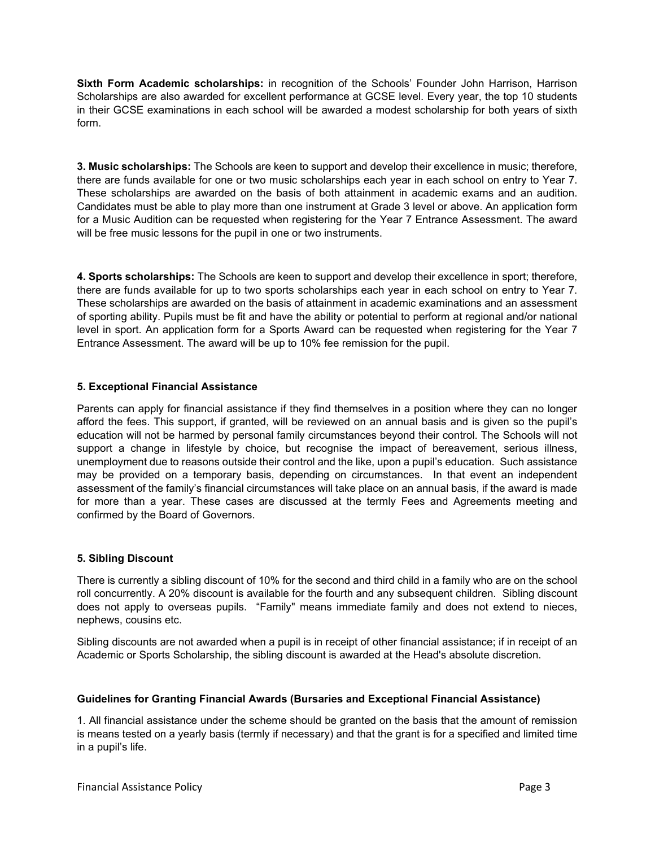**Sixth Form Academic scholarships:** in recognition of the Schools' Founder John Harrison, Harrison Scholarships are also awarded for excellent performance at GCSE level. Every year, the top 10 students in their GCSE examinations in each school will be awarded a modest scholarship for both years of sixth form.

**3. Music scholarships:** The Schools are keen to support and develop their excellence in music; therefore, there are funds available for one or two music scholarships each year in each school on entry to Year 7. These scholarships are awarded on the basis of both attainment in academic exams and an audition. Candidates must be able to play more than one instrument at Grade 3 level or above. An application form for a Music Audition can be requested when registering for the Year 7 Entrance Assessment. The award will be free music lessons for the pupil in one or two instruments.

**4. Sports scholarships:** The Schools are keen to support and develop their excellence in sport; therefore, there are funds available for up to two sports scholarships each year in each school on entry to Year 7. These scholarships are awarded on the basis of attainment in academic examinations and an assessment of sporting ability. Pupils must be fit and have the ability or potential to perform at regional and/or national level in sport. An application form for a Sports Award can be requested when registering for the Year 7 Entrance Assessment. The award will be up to 10% fee remission for the pupil.

# **5. Exceptional Financial Assistance**

Parents can apply for financial assistance if they find themselves in a position where they can no longer afford the fees. This support, if granted, will be reviewed on an annual basis and is given so the pupil's education will not be harmed by personal family circumstances beyond their control. The Schools will not support a change in lifestyle by choice, but recognise the impact of bereavement, serious illness, unemployment due to reasons outside their control and the like, upon a pupil's education. Such assistance may be provided on a temporary basis, depending on circumstances. In that event an independent assessment of the family's financial circumstances will take place on an annual basis, if the award is made for more than a year. These cases are discussed at the termly Fees and Agreements meeting and confirmed by the Board of Governors.

# **5. Sibling Discount**

There is currently a sibling discount of 10% for the second and third child in a family who are on the school roll concurrently. A 20% discount is available for the fourth and any subsequent children. Sibling discount does not apply to overseas pupils. "Family" means immediate family and does not extend to nieces, nephews, cousins etc.

Sibling discounts are not awarded when a pupil is in receipt of other financial assistance; if in receipt of an Academic or Sports Scholarship, the sibling discount is awarded at the Head's absolute discretion.

## **Guidelines for Granting Financial Awards (Bursaries and Exceptional Financial Assistance)**

1. All financial assistance under the scheme should be granted on the basis that the amount of remission is means tested on a yearly basis (termly if necessary) and that the grant is for a specified and limited time in a pupil's life.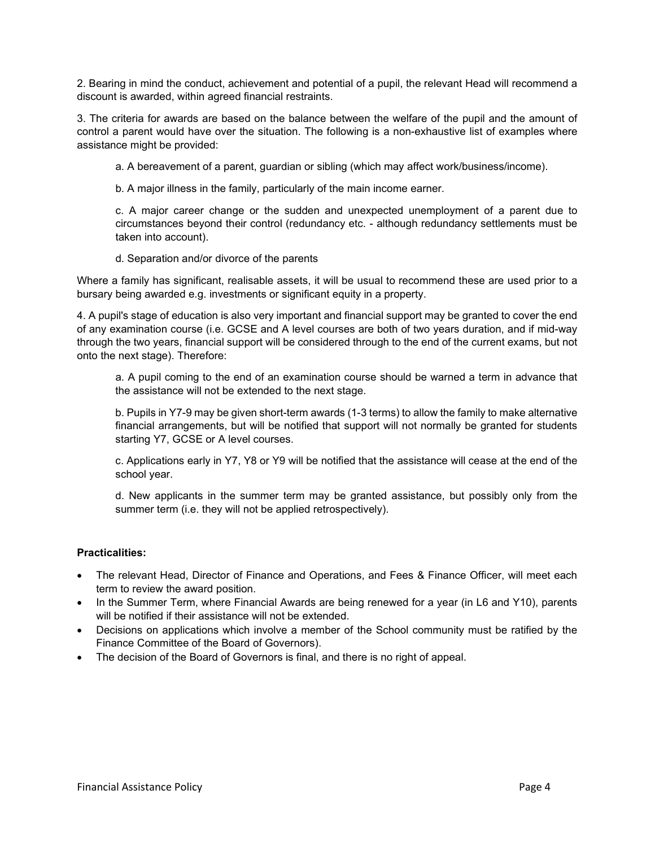2. Bearing in mind the conduct, achievement and potential of a pupil, the relevant Head will recommend a discount is awarded, within agreed financial restraints.

3. The criteria for awards are based on the balance between the welfare of the pupil and the amount of control a parent would have over the situation. The following is a non-exhaustive list of examples where assistance might be provided:

a. A bereavement of a parent, guardian or sibling (which may affect work/business/income).

b. A major illness in the family, particularly of the main income earner.

c. A major career change or the sudden and unexpected unemployment of a parent due to circumstances beyond their control (redundancy etc. - although redundancy settlements must be taken into account).

d. Separation and/or divorce of the parents

Where a family has significant, realisable assets, it will be usual to recommend these are used prior to a bursary being awarded e.g. investments or significant equity in a property.

4. A pupil's stage of education is also very important and financial support may be granted to cover the end of any examination course (i.e. GCSE and A level courses are both of two years duration, and if mid-way through the two years, financial support will be considered through to the end of the current exams, but not onto the next stage). Therefore:

a. A pupil coming to the end of an examination course should be warned a term in advance that the assistance will not be extended to the next stage.

b. Pupils in Y7-9 may be given short-term awards (1-3 terms) to allow the family to make alternative financial arrangements, but will be notified that support will not normally be granted for students starting Y7, GCSE or A level courses.

c. Applications early in Y7, Y8 or Y9 will be notified that the assistance will cease at the end of the school year.

d. New applicants in the summer term may be granted assistance, but possibly only from the summer term (i.e. they will not be applied retrospectively).

# **Practicalities:**

- The relevant Head, Director of Finance and Operations, and Fees & Finance Officer, will meet each term to review the award position.
- In the Summer Term, where Financial Awards are being renewed for a year (in L6 and Y10), parents will be notified if their assistance will not be extended.
- Decisions on applications which involve a member of the School community must be ratified by the Finance Committee of the Board of Governors).
- The decision of the Board of Governors is final, and there is no right of appeal.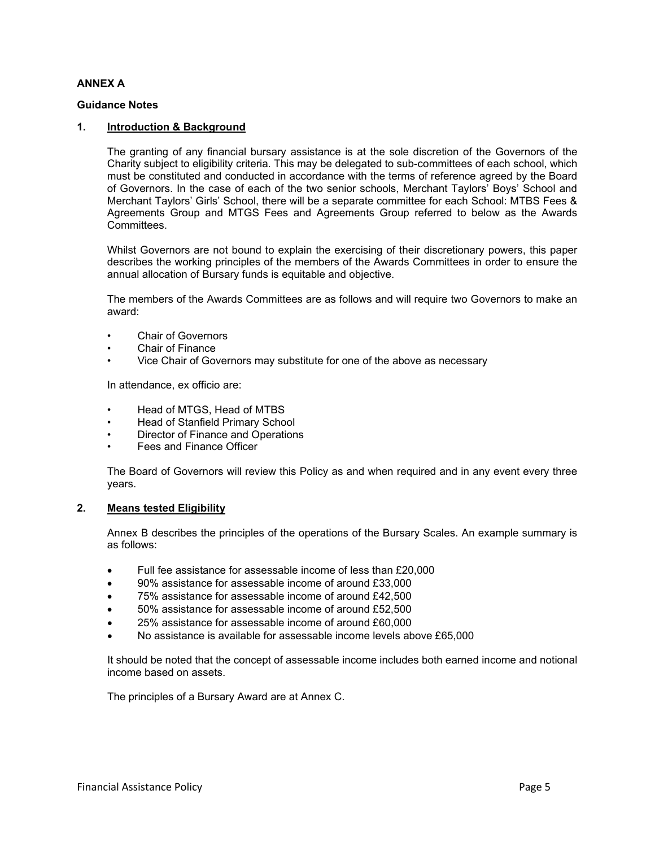# **ANNEX A**

# **Guidance Notes**

## **1. Introduction & Background**

The granting of any financial bursary assistance is at the sole discretion of the Governors of the Charity subject to eligibility criteria. This may be delegated to sub-committees of each school, which must be constituted and conducted in accordance with the terms of reference agreed by the Board of Governors. In the case of each of the two senior schools, Merchant Taylors' Boys' School and Merchant Taylors' Girls' School, there will be a separate committee for each School: MTBS Fees & Agreements Group and MTGS Fees and Agreements Group referred to below as the Awards Committees.

Whilst Governors are not bound to explain the exercising of their discretionary powers, this paper describes the working principles of the members of the Awards Committees in order to ensure the annual allocation of Bursary funds is equitable and objective.

The members of the Awards Committees are as follows and will require two Governors to make an award:

- Chair of Governors
- Chair of Finance
- Vice Chair of Governors may substitute for one of the above as necessary

In attendance, ex officio are:

- Head of MTGS, Head of MTBS
- Head of Stanfield Primary School
- Director of Finance and Operations
- Fees and Finance Officer

The Board of Governors will review this Policy as and when required and in any event every three years.

## **2. Means tested Eligibility**

Annex B describes the principles of the operations of the Bursary Scales. An example summary is as follows:

- Full fee assistance for assessable income of less than £20,000
- 90% assistance for assessable income of around £33,000
- 75% assistance for assessable income of around £42,500
- 50% assistance for assessable income of around £52,500
- 25% assistance for assessable income of around £60,000
- No assistance is available for assessable income levels above £65,000

It should be noted that the concept of assessable income includes both earned income and notional income based on assets.

The principles of a Bursary Award are at Annex C.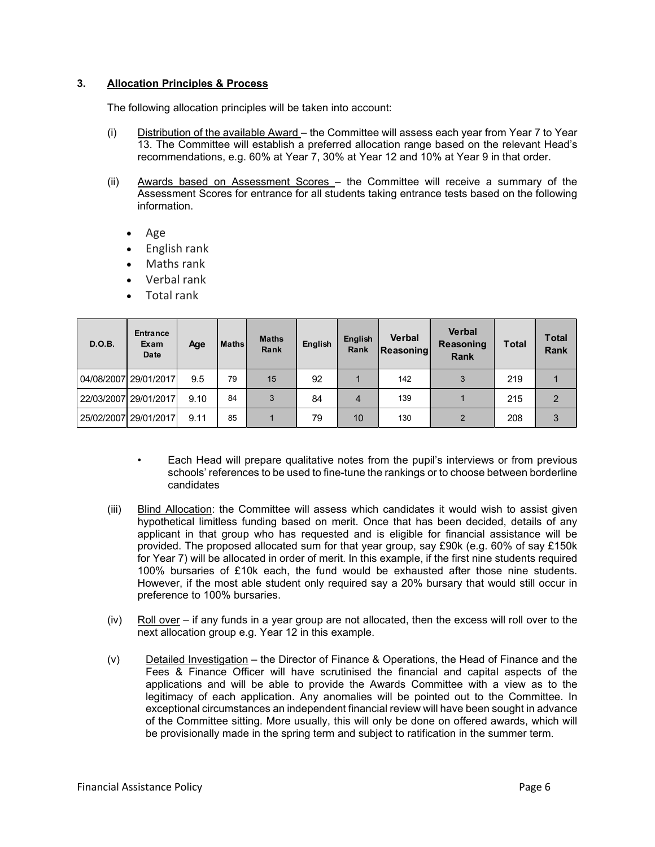# **3. Allocation Principles & Process**

The following allocation principles will be taken into account:

- (i) Distribution of the available Award the Committee will assess each year from Year 7 to Year 13. The Committee will establish a preferred allocation range based on the relevant Head's recommendations, e.g. 60% at Year 7, 30% at Year 12 and 10% at Year 9 in that order.
- (ii) Awards based on Assessment Scores the Committee will receive a summary of the Assessment Scores for entrance for all students taking entrance tests based on the following information.
	- Age
	- English rank
	- Maths rank
	- Verbal rank
	- Total rank

| D.O.B. | Entrance<br>Exam<br>Date | Age  | <b>Maths</b> | <b>Maths</b><br>Rank | English | English<br>Rank | <b>Verbal</b><br>Reasoning | <b>Verbal</b><br>Reasoning<br><b>Rank</b> | <b>Total</b> | <b>Total</b><br><b>Rank</b> |
|--------|--------------------------|------|--------------|----------------------|---------|-----------------|----------------------------|-------------------------------------------|--------------|-----------------------------|
|        | 04/08/2007 29/01/2017    | 9.5  | 79           | 15                   | 92      |                 | 142                        | 3                                         | 219          |                             |
|        | 22/03/2007 29/01/2017    | 9.10 | 84           | 3                    | 84      | 4               | 139                        |                                           | 215          | $\overline{2}$              |
|        | 25/02/2007 29/01/2017    | 9.11 | 85           |                      | 79      | 10              | 130                        |                                           | 208          | 3                           |

- Each Head will prepare qualitative notes from the pupil's interviews or from previous schools' references to be used to fine-tune the rankings or to choose between borderline candidates
- (iii) Blind Allocation: the Committee will assess which candidates it would wish to assist given hypothetical limitless funding based on merit. Once that has been decided, details of any applicant in that group who has requested and is eligible for financial assistance will be provided. The proposed allocated sum for that year group, say £90k (e.g. 60% of say £150k for Year 7) will be allocated in order of merit. In this example, if the first nine students required 100% bursaries of £10k each, the fund would be exhausted after those nine students. However, if the most able student only required say a 20% bursary that would still occur in preference to 100% bursaries.
- $(iv)$  Roll over if any funds in a year group are not allocated, then the excess will roll over to the next allocation group e.g. Year 12 in this example.
- (v) Detailed Investigation the Director of Finance & Operations, the Head of Finance and the Fees & Finance Officer will have scrutinised the financial and capital aspects of the applications and will be able to provide the Awards Committee with a view as to the legitimacy of each application. Any anomalies will be pointed out to the Committee. In exceptional circumstances an independent financial review will have been sought in advance of the Committee sitting. More usually, this will only be done on offered awards, which will be provisionally made in the spring term and subject to ratification in the summer term.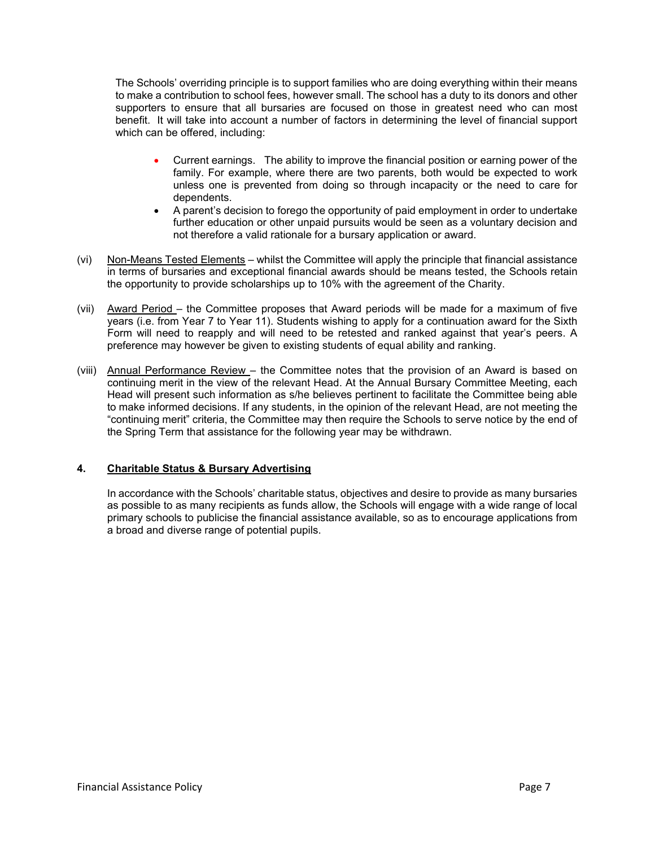The Schools' overriding principle is to support families who are doing everything within their means to make a contribution to school fees, however small. The school has a duty to its donors and other supporters to ensure that all bursaries are focused on those in greatest need who can most benefit. It will take into account a number of factors in determining the level of financial support which can be offered, including:

- Current earnings. The ability to improve the financial position or earning power of the family. For example, where there are two parents, both would be expected to work unless one is prevented from doing so through incapacity or the need to care for dependents.
- A parent's decision to forego the opportunity of paid employment in order to undertake further education or other unpaid pursuits would be seen as a voluntary decision and not therefore a valid rationale for a bursary application or award.
- (vi) Non-Means Tested Elements whilst the Committee will apply the principle that financial assistance in terms of bursaries and exceptional financial awards should be means tested, the Schools retain the opportunity to provide scholarships up to 10% with the agreement of the Charity.
- (vii) Award Period the Committee proposes that Award periods will be made for a maximum of five years (i.e. from Year 7 to Year 11). Students wishing to apply for a continuation award for the Sixth Form will need to reapply and will need to be retested and ranked against that year's peers. A preference may however be given to existing students of equal ability and ranking.
- (viii) Annual Performance Review the Committee notes that the provision of an Award is based on continuing merit in the view of the relevant Head. At the Annual Bursary Committee Meeting, each Head will present such information as s/he believes pertinent to facilitate the Committee being able to make informed decisions. If any students, in the opinion of the relevant Head, are not meeting the "continuing merit" criteria, the Committee may then require the Schools to serve notice by the end of the Spring Term that assistance for the following year may be withdrawn.

# **4. Charitable Status & Bursary Advertising**

In accordance with the Schools' charitable status, objectives and desire to provide as many bursaries as possible to as many recipients as funds allow, the Schools will engage with a wide range of local primary schools to publicise the financial assistance available, so as to encourage applications from a broad and diverse range of potential pupils.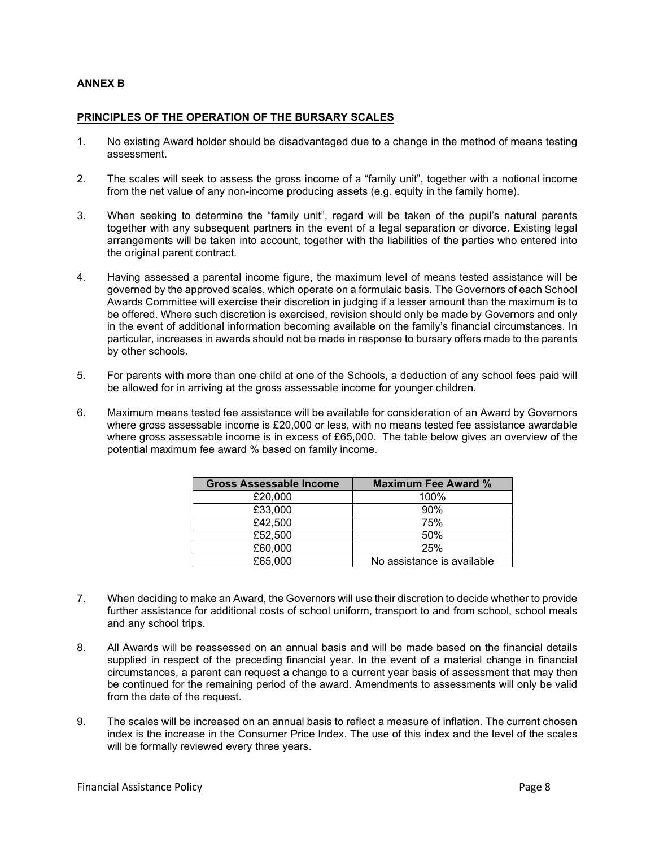# **ANNEX B**

# **PRINCIPLES OF THE OPERATION OF THE BURSARY SCALES**

- 1. No existing Award holder should be disadvantaged due to a change in the method of means testing assessment.
- 2. The scales will seek to assess the gross income of a "family unit", together with a notional income from the net value of any non-income producing assets (e.g. equity in the family home).
- 3. When seeking to determine the "family unit", regard will be taken of the pupil's natural parents together with any subsequent partners in the event of a legal separation or divorce. Existing legal arrangements will be taken into account, together with the liabilities of the parties who entered into the original parent contract.
- 4. Having assessed a parental income figure, the maximum level of means tested assistance will be governed by the approved scales, which operate on a formulaic basis. The Governors of each School Awards Committee will exercise their discretion in judging if a lesser amount than the maximum is to be offered. Where such discretion is exercised, revision should only be made by Governors and only in the event of additional information becoming available on the family's financial circumstances. In particular, increases in awards should not be made in response to bursary offers made to the parents by other schools.
- 5. For parents with more than one child at one of the Schools, a deduction of any school fees paid will be allowed for in arriving at the gross assessable income for younger children.
- 6. Maximum means tested fee assistance will be available for consideration of an Award by Governors where gross assessable income is £20,000 or less, with no means tested fee assistance awardable where gross assessable income is in excess of £65,000. The table below gives an overview of the potential maximum fee award % based on family income.

| <b>Gross Assessable Income</b> | <b>Maximum Fee Award %</b> |
|--------------------------------|----------------------------|
| £20,000                        | 100%                       |
| £33,000                        | 90%                        |
| £42,500                        | 75%                        |
| £52,500                        | 50%                        |
| £60,000                        | 25%                        |
| £65,000                        | No assistance is available |

- 7. When deciding to make an Award, the Governors will use their discretion to decide whether to provide further assistance for additional costs of school uniform, transport to and from school, school meals and any school trips.
- 8. All Awards will be reassessed on an annual basis and will be made based on the financial details supplied in respect of the preceding financial year. In the event of a material change in financial circumstances, a parent can request a change to a current year basis of assessment that may then be continued for the remaining period of the award. Amendments to assessments will only be valid from the date of the request.
- 9. The scales will be increased on an annual basis to reflect a measure of inflation. The current chosen index is the increase in the Consumer Price Index. The use of this index and the level of the scales will be formally reviewed every three years.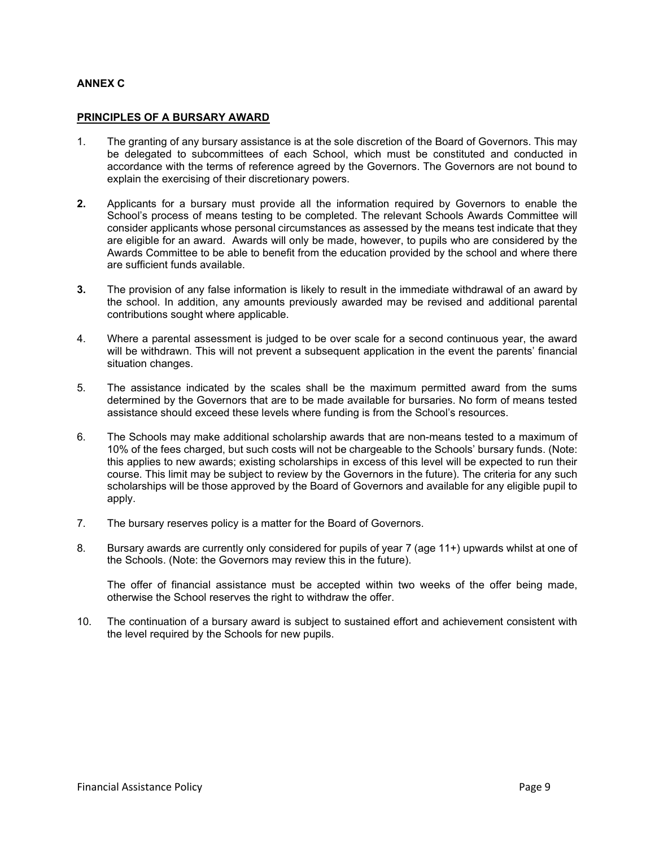# **ANNEX C**

## **PRINCIPLES OF A BURSARY AWARD**

- 1. The granting of any bursary assistance is at the sole discretion of the Board of Governors. This may be delegated to subcommittees of each School, which must be constituted and conducted in accordance with the terms of reference agreed by the Governors. The Governors are not bound to explain the exercising of their discretionary powers.
- **2.** Applicants for a bursary must provide all the information required by Governors to enable the School's process of means testing to be completed. The relevant Schools Awards Committee will consider applicants whose personal circumstances as assessed by the means test indicate that they are eligible for an award. Awards will only be made, however, to pupils who are considered by the Awards Committee to be able to benefit from the education provided by the school and where there are sufficient funds available.
- **3.** The provision of any false information is likely to result in the immediate withdrawal of an award by the school. In addition, any amounts previously awarded may be revised and additional parental contributions sought where applicable.
- 4. Where a parental assessment is judged to be over scale for a second continuous year, the award will be withdrawn. This will not prevent a subsequent application in the event the parents' financial situation changes.
- 5. The assistance indicated by the scales shall be the maximum permitted award from the sums determined by the Governors that are to be made available for bursaries. No form of means tested assistance should exceed these levels where funding is from the School's resources.
- 6. The Schools may make additional scholarship awards that are non-means tested to a maximum of 10% of the fees charged, but such costs will not be chargeable to the Schools' bursary funds. (Note: this applies to new awards; existing scholarships in excess of this level will be expected to run their course. This limit may be subject to review by the Governors in the future). The criteria for any such scholarships will be those approved by the Board of Governors and available for any eligible pupil to apply.
- 7. The bursary reserves policy is a matter for the Board of Governors.
- 8. Bursary awards are currently only considered for pupils of year 7 (age 11+) upwards whilst at one of the Schools. (Note: the Governors may review this in the future).

The offer of financial assistance must be accepted within two weeks of the offer being made, otherwise the School reserves the right to withdraw the offer.

10. The continuation of a bursary award is subject to sustained effort and achievement consistent with the level required by the Schools for new pupils.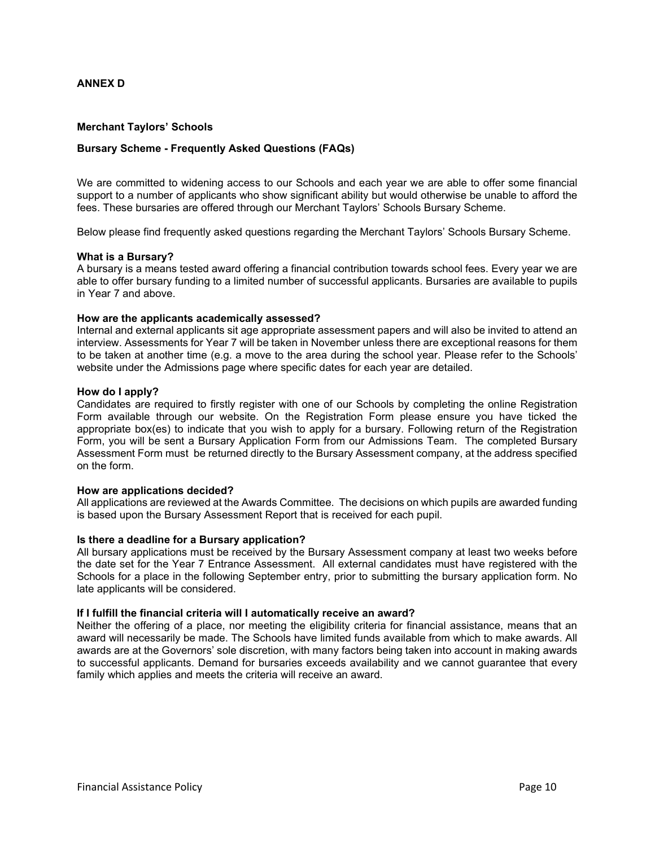# **ANNEX D**

## **Merchant Taylors' Schools**

# **Bursary Scheme - Frequently Asked Questions (FAQs)**

We are committed to widening access to our Schools and each year we are able to offer some financial support to a number of applicants who show significant ability but would otherwise be unable to afford the fees. These bursaries are offered through our Merchant Taylors' Schools Bursary Scheme.

Below please find frequently asked questions regarding the Merchant Taylors' Schools Bursary Scheme.

#### **What is a Bursary?**

A bursary is a means tested award offering a financial contribution towards school fees. Every year we are able to offer bursary funding to a limited number of successful applicants. Bursaries are available to pupils in Year 7 and above.

#### **How are the applicants academically assessed?**

Internal and external applicants sit age appropriate assessment papers and will also be invited to attend an interview. Assessments for Year 7 will be taken in November unless there are exceptional reasons for them to be taken at another time (e.g. a move to the area during the school year. Please refer to the Schools' website under the Admissions page where specific dates for each year are detailed.

#### **How do I apply?**

Candidates are required to firstly register with one of [our Schools](http://www.harpurtrust.org.uk/schools/our-schools/) by completing the online Registration Form available through our website. On the Registration Form please ensure you have ticked the appropriate box(es) to indicate that you wish to apply for a bursary. Following return of the Registration Form, you will be sent a Bursary Application Form from our Admissions Team. The completed Bursary Assessment Form must be returned directly to the Bursary Assessment company, at the address specified on the form.

## **How are applications decided?**

All applications are reviewed at the Awards Committee. The decisions on which pupils are awarded funding is based upon the Bursary Assessment Report that is received for each pupil.

#### **Is there a deadline for a Bursary application?**

All bursary applications must be received by the Bursary Assessment company at least two weeks before the date set for the Year 7 Entrance Assessment. All external candidates must have registered with the Schools for a place in the following September entry, prior to submitting the bursary application form. No late applicants will be considered.

#### **If I fulfill the financial criteria will I automatically receive an award?**

Neither the offering of a place, nor meeting the eligibility criteria for financial assistance, means that an award will necessarily be made. The Schools have limited funds available from which to make awards. All awards are at the Governors' sole discretion, with many factors being taken into account in making awards to successful applicants. Demand for bursaries exceeds availability and we cannot guarantee that every family which applies and meets the criteria will receive an award.